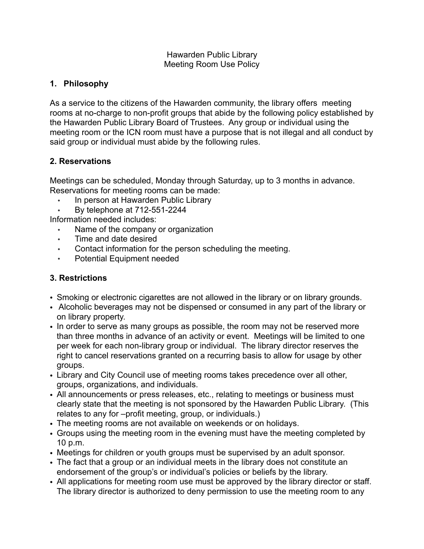#### Hawarden Public Library Meeting Room Use Policy

#### **1. Philosophy**

As a service to the citizens of the Hawarden community, the library offers meeting rooms at no-charge to non-profit groups that abide by the following policy established by the Hawarden Public Library Board of Trustees. Any group or individual using the meeting room or the ICN room must have a purpose that is not illegal and all conduct by said group or individual must abide by the following rules.

## **2. Reservations**

Meetings can be scheduled, Monday through Saturday, up to 3 months in advance. Reservations for meeting rooms can be made:

- In person at Hawarden Public Library
- By telephone at 712-551-2244

Information needed includes:

- Name of the company or organization
- Time and date desired
- Contact information for the person scheduling the meeting.
- Potential Equipment needed

# **3. Restrictions**

- Smoking or electronic cigarettes are not allowed in the library or on library grounds.
- Alcoholic beverages may not be dispensed or consumed in any part of the library or on library property.
- In order to serve as many groups as possible, the room may not be reserved more than three months in advance of an activity or event. Meetings will be limited to one per week for each non-library group or individual. The library director reserves the right to cancel reservations granted on a recurring basis to allow for usage by other groups.
- Library and City Council use of meeting rooms takes precedence over all other, groups, organizations, and individuals.
- All announcements or press releases, etc., relating to meetings or business must clearly state that the meeting is not sponsored by the Hawarden Public Library. (This relates to any for –profit meeting, group, or individuals.)
- The meeting rooms are not available on weekends or on holidays.
- Groups using the meeting room in the evening must have the meeting completed by 10 p.m.
- Meetings for children or youth groups must be supervised by an adult sponsor.
- The fact that a group or an individual meets in the library does not constitute an endorsement of the group's or individual's policies or beliefs by the library.
- All applications for meeting room use must be approved by the library director or staff. The library director is authorized to deny permission to use the meeting room to any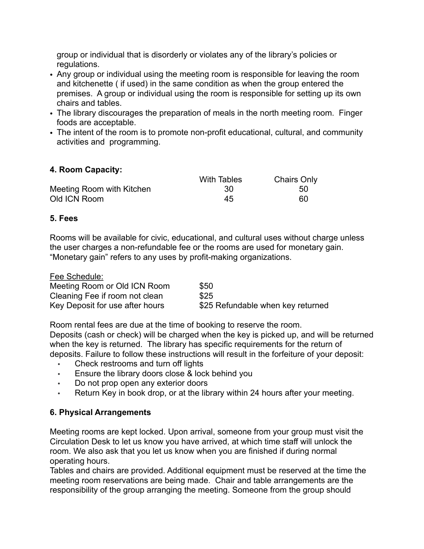group or individual that is disorderly or violates any of the library's policies or regulations.

- Any group or individual using the meeting room is responsible for leaving the room and kitchenette ( if used) in the same condition as when the group entered the premises. A group or individual using the room is responsible for setting up its own chairs and tables.
- The library discourages the preparation of meals in the north meeting room. Finger foods are acceptable.
- The intent of the room is to promote non-profit educational, cultural, and community activities and programming.

## **4. Room Capacity:**

|                           | <b>With Tables</b> | <b>Chairs Only</b> |
|---------------------------|--------------------|--------------------|
| Meeting Room with Kitchen | -30                | 50                 |
| Old ICN Room              | 45                 | 60                 |

#### **5. Fees**

Rooms will be available for civic, educational, and cultural uses without charge unless the user charges a non-refundable fee or the rooms are used for monetary gain. "Monetary gain" refers to any uses by profit-making organizations.

| Fee Schedule:                   |                                   |
|---------------------------------|-----------------------------------|
| Meeting Room or Old ICN Room    | \$50                              |
| Cleaning Fee if room not clean  | \$25                              |
| Key Deposit for use after hours | \$25 Refundable when key returned |

Room rental fees are due at the time of booking to reserve the room. Deposits (cash or check) will be charged when the key is picked up, and will be returned when the key is returned. The library has specific requirements for the return of deposits. Failure to follow these instructions will result in the forfeiture of your deposit:

- Check restrooms and turn off lights
- Ensure the library doors close & lock behind you
- Do not prop open any exterior doors
- Return Key in book drop, or at the library within 24 hours after your meeting.

#### **6. Physical Arrangements**

Meeting rooms are kept locked. Upon arrival, someone from your group must visit the Circulation Desk to let us know you have arrived, at which time staff will unlock the room. We also ask that you let us know when you are finished if during normal operating hours.

Tables and chairs are provided. Additional equipment must be reserved at the time the meeting room reservations are being made. Chair and table arrangements are the responsibility of the group arranging the meeting. Someone from the group should